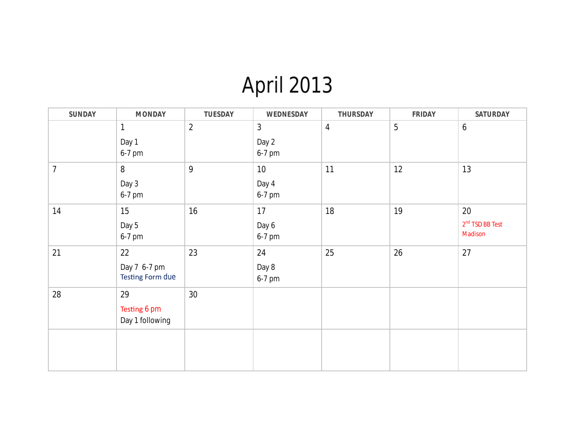## April 2013

| <b>SUNDAY</b>  | <b>MONDAY</b>                          | <b>TUESDAY</b> | WEDNESDAY                         | <b>THURSDAY</b> | <b>FRIDAY</b> | <b>SATURDAY</b>                    |
|----------------|----------------------------------------|----------------|-----------------------------------|-----------------|---------------|------------------------------------|
|                | $\mathbf{1}$<br>Day 1<br>6-7 pm        | $\overline{2}$ | $\mathfrak{Z}$<br>Day 2<br>6-7 pm | $\overline{4}$  | 5             | $\boldsymbol{6}$                   |
| $\overline{7}$ | 8<br>Day 3<br>6-7 pm                   | 9              | 10<br>Day 4<br>6-7 pm             | 11              | 12            | 13                                 |
| 14             | 15<br>Day 5<br>6-7 pm                  | 16             | 17<br>Day 6<br>6-7 pm             | 18              | 19            | 20<br>$2nd$ TSD BB Test<br>Madison |
| 21             | 22<br>Day 7 6-7 pm<br>Testing Form due | 23             | 24<br>Day 8<br>6-7 pm             | 25              | 26            | 27                                 |
| 28             | 29<br>Testing 6 pm<br>Day 1 following  | 30             |                                   |                 |               |                                    |
|                |                                        |                |                                   |                 |               |                                    |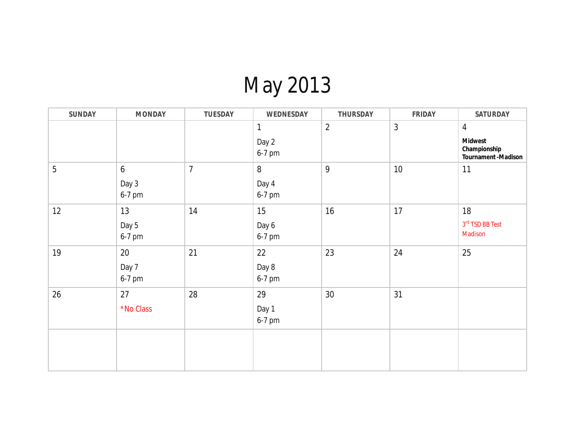## May 2013

| <b>SUNDAY</b> | <b>MONDAY</b>                       | <b>TUESDAY</b>   | <b>WEDNESDAY</b>                | <b>THURSDAY</b> | <b>FRIDAY</b>  | <b>SATURDAY</b>                                                                |
|---------------|-------------------------------------|------------------|---------------------------------|-----------------|----------------|--------------------------------------------------------------------------------|
|               |                                     |                  | $\mathbf{1}$<br>Day 2<br>6-7 pm | $\overline{2}$  | $\mathfrak{Z}$ | $\overline{4}$<br><b>Midwest</b><br>Championship<br><b>Tournament -Madison</b> |
| 5             | $\boldsymbol{6}$<br>Day 3<br>6-7 pm | $\boldsymbol{7}$ | $8\,$<br>Day 4<br>6-7 pm        | 9               | $10\,$         | 11                                                                             |
| 12            | 13<br>Day 5<br>6-7 pm               | 14               | 15<br>Day 6<br>6-7 pm           | 16              | 17             | 18<br>$3rd$ TSD BB Test<br>Madison                                             |
| 19            | 20<br>Day 7<br>6-7 pm               | 21               | 22<br>Day 8<br>6-7 pm           | 23              | 24             | 25                                                                             |
| 26            | 27<br>*No Class                     | 28               | 29<br>Day 1<br>6-7 pm           | 30 <sup>°</sup> | 31             |                                                                                |
|               |                                     |                  |                                 |                 |                |                                                                                |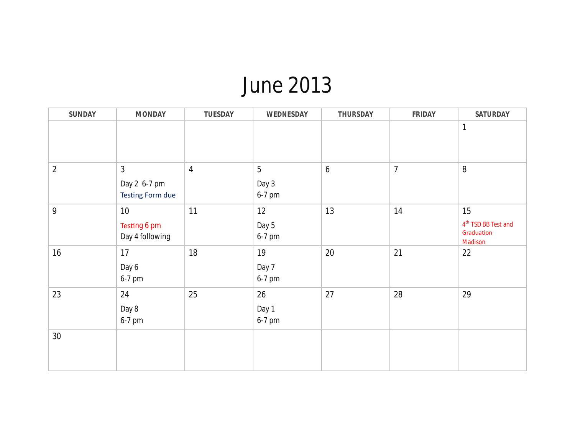### June 2013

| <b>SUNDAY</b>  | <b>MONDAY</b>                                             | <b>TUESDAY</b> | WEDNESDAY                         | <b>THURSDAY</b> | <b>FRIDAY</b>  | <b>SATURDAY</b>                                                |
|----------------|-----------------------------------------------------------|----------------|-----------------------------------|-----------------|----------------|----------------------------------------------------------------|
|                |                                                           |                |                                   |                 |                | $\mathbf{1}$                                                   |
| $\overline{2}$ | $\mathfrak{Z}$<br>Day 2 6-7 pm<br><b>Testing Form due</b> | $\overline{4}$ | $\overline{5}$<br>Day 3<br>6-7 pm | $\overline{6}$  | $\overline{7}$ | $8\,$                                                          |
| 9              | 10<br>Testing 6 pm<br>Day 4 following                     | 11             | 12<br>Day 5<br>6-7 pm             | 13              | 14             | 15<br>4 <sup>th</sup> TSD BB Test and<br>Graduation<br>Madison |
| $16$           | 17<br>Day 6<br>6-7 pm                                     | 18             | 19<br>Day 7<br>6-7 pm             | 20              | 21             | 22                                                             |
| 23             | 24<br>Day 8<br>6-7 pm                                     | 25             | 26<br>Day 1<br>6-7 pm             | 27              | 28             | 29                                                             |
| 30             |                                                           |                |                                   |                 |                |                                                                |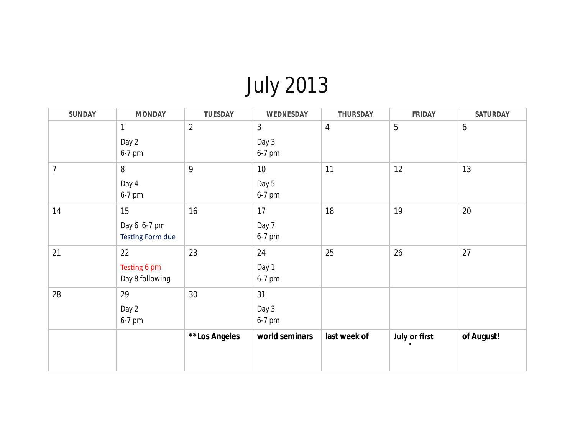## July 2013

| <b>SUNDAY</b>  | <b>MONDAY</b>                                 | <b>TUESDAY</b> | WEDNESDAY             | <b>THURSDAY</b> | <b>FRIDAY</b> | <b>SATURDAY</b>  |
|----------------|-----------------------------------------------|----------------|-----------------------|-----------------|---------------|------------------|
|                | 1<br>Day 2<br>6-7 pm                          | $\overline{2}$ | 3<br>Day 3<br>6-7 pm  | $\overline{4}$  | 5             | $\boldsymbol{6}$ |
| $\overline{7}$ | 8<br>Day 4<br>6-7 pm                          | 9              | 10<br>Day 5<br>6-7 pm | 11              | 12            | 13               |
| 14             | 15<br>Day 6 6-7 pm<br><b>Testing Form due</b> | 16             | 17<br>Day 7<br>6-7 pm | 18              | 19            | 20               |
| 21             | 22<br>Testing 6 pm<br>Day 8 following         | 23             | 24<br>Day 1<br>6-7 pm | 25              | 26            | 27               |
| 28             | 29<br>Day 2<br>6-7 pm                         | 30             | 31<br>Day 3<br>6-7 pm |                 |               |                  |
|                |                                               | **Los Angeles  | world seminars        | last week of    | July or first | of August!       |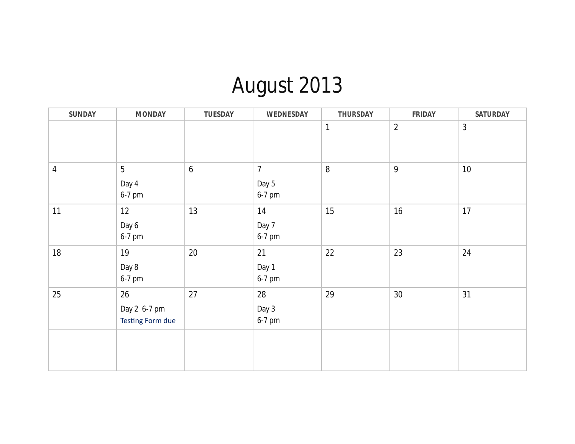# August 2013

| <b>SUNDAY</b> | <b>MONDAY</b>                                 | <b>TUESDAY</b>   | WEDNESDAY                         | <b>THURSDAY</b> | <b>FRIDAY</b>   | <b>SATURDAY</b> |
|---------------|-----------------------------------------------|------------------|-----------------------------------|-----------------|-----------------|-----------------|
|               |                                               |                  |                                   | $\mathbf{1}$    | $\overline{2}$  | 3               |
| 4             | 5<br>Day 4<br>6-7 pm                          | $\boldsymbol{6}$ | $\overline{7}$<br>Day 5<br>6-7 pm | $8\,$           | $\overline{9}$  | 10              |
| 11            | 12<br>Day 6<br>6-7 pm                         | 13               | 14<br>Day 7<br>6-7 pm             | 15              | $16$            | 17              |
| 18            | 19<br>Day 8<br>6-7 pm                         | $20\,$           | 21<br>Day 1<br>6-7 pm             | 22              | 23              | 24              |
| 25            | 26<br>Day 2 6-7 pm<br><b>Testing Form due</b> | 27               | 28<br>Day 3<br>6-7 pm             | 29              | 30 <sup>°</sup> | 31              |
|               |                                               |                  |                                   |                 |                 |                 |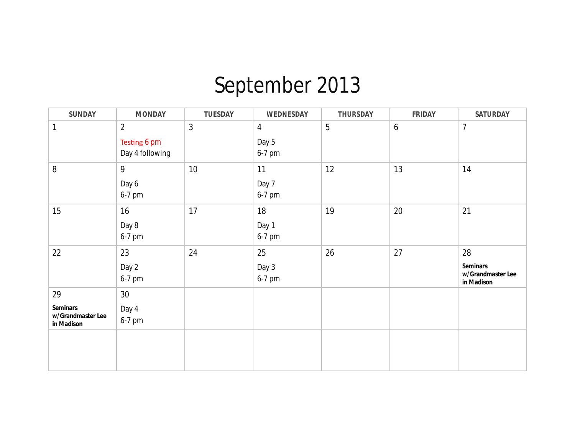## September 2013

| <b>SUNDAY</b>                                      | <b>MONDAY</b>                                     | <b>TUESDAY</b> | WEDNESDAY                         | <b>THURSDAY</b> | <b>FRIDAY</b>    | <b>SATURDAY</b>                                          |
|----------------------------------------------------|---------------------------------------------------|----------------|-----------------------------------|-----------------|------------------|----------------------------------------------------------|
| 1                                                  | $\overline{2}$<br>Testing 6 pm<br>Day 4 following | $\mathfrak{Z}$ | $\overline{4}$<br>Day 5<br>6-7 pm | 5               | $\boldsymbol{6}$ | 7                                                        |
| 8                                                  | 9<br>Day 6<br>6-7 pm                              | $10$           | 11<br>Day 7<br>6-7 pm             | 12              | 13               | 14                                                       |
| 15                                                 | 16<br>Day 8<br>6-7 pm                             | 17             | 18<br>Day 1<br>6-7 pm             | 19              | $20\,$           | 21                                                       |
| 22                                                 | 23<br>Day 2<br>6-7 pm                             | 24             | 25<br>Day 3<br>6-7 pm             | 26              | 27               | 28<br><b>Seminars</b><br>w/Grandmaster Lee<br>in Madison |
| 29                                                 | 30 <sup>°</sup>                                   |                |                                   |                 |                  |                                                          |
| <b>Seminars</b><br>w/Grandmaster Lee<br>in Madison | Day 4<br>6-7 pm                                   |                |                                   |                 |                  |                                                          |
|                                                    |                                                   |                |                                   |                 |                  |                                                          |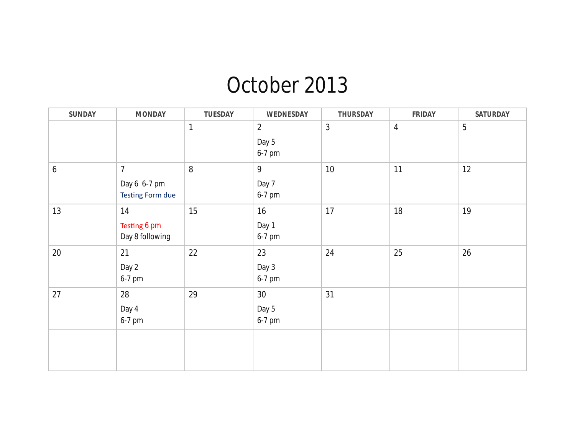### October 2013

| <b>SUNDAY</b> | <b>MONDAY</b>                                             | <b>TUESDAY</b> | <b>WEDNESDAY</b>                  | <b>THURSDAY</b> | <b>FRIDAY</b>  | <b>SATURDAY</b> |
|---------------|-----------------------------------------------------------|----------------|-----------------------------------|-----------------|----------------|-----------------|
|               |                                                           | $\mathbf{1}$   | $\overline{2}$<br>Day 5<br>6-7 pm | $\mathfrak{Z}$  | $\overline{4}$ | $5\phantom{.0}$ |
| 6             | $\overline{7}$<br>Day 6 6-7 pm<br><b>Testing Form due</b> | $\, 8$         | 9<br>Day 7<br>6-7 pm              | 10              | 11             | 12              |
| 13            | 14<br>Testing 6 pm<br>Day 8 following                     | 15             | 16<br>Day 1<br>6-7 pm             | 17              | 18             | 19              |
| $20\,$        | 21<br>Day 2<br>6-7 pm                                     | 22             | 23<br>Day 3<br>6-7 pm             | 24              | 25             | 26              |
| 27            | 28<br>Day 4<br>6-7 pm                                     | 29             | 30<br>Day 5<br>6-7 pm             | 31              |                |                 |
|               |                                                           |                |                                   |                 |                |                 |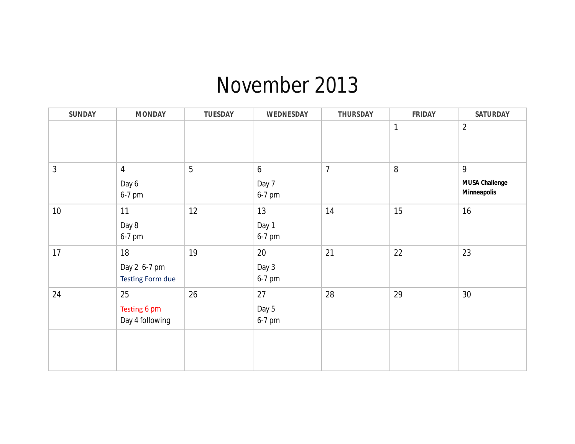### November 2013

| <b>SUNDAY</b> | <b>MONDAY</b>                                 | <b>TUESDAY</b> | WEDNESDAY                         | <b>THURSDAY</b> | <b>FRIDAY</b> | <b>SATURDAY</b>                                  |
|---------------|-----------------------------------------------|----------------|-----------------------------------|-----------------|---------------|--------------------------------------------------|
|               |                                               |                |                                   |                 | $\mathbf{1}$  | $\overline{2}$                                   |
| 3             | $\overline{4}$<br>Day 6<br>6-7 pm             | 5              | $6\phantom{a}$<br>Day 7<br>6-7 pm | $\overline{7}$  | $\, 8$        | 9<br><b>MUSA Challenge</b><br><b>Minneapolis</b> |
| 10            | 11<br>Day 8<br>6-7 pm                         | 12             | 13<br>Day 1<br>6-7 pm             | 14              | 15            | 16                                               |
| 17            | 18<br>Day 2 6-7 pm<br><b>Testing Form due</b> | 19             | 20<br>Day 3<br>6-7 pm             | 21              | 22            | 23                                               |
| 24            | 25<br>Testing 6 pm<br>Day 4 following         | 26             | 27<br>Day 5<br>6-7 pm             | 28              | 29            | 30                                               |
|               |                                               |                |                                   |                 |               |                                                  |